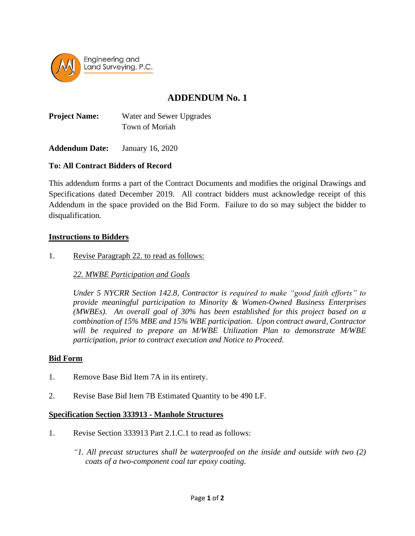

# **ADDENDUM No. 1**

**Project Name:** Water and Sewer Upgrades Town of Moriah

**Addendum Date:** January 16, 2020

## **To: All Contract Bidders of Record**

This addendum forms a part of the Contract Documents and modifies the original Drawings and Specifications dated December 2019. All contract bidders must acknowledge receipt of this Addendum in the space provided on the Bid Form. Failure to do so may subject the bidder to disqualification.

### **Instructions to Bidders**

1. Revise Paragraph 22. to read as follows:

## *22. MWBE Participation and Goals*

*Under 5 NYCRR Section 142.8, Contractor is required to make "good faith efforts" to provide meaningful participation to Minority & Women-Owned Business Enterprises (MWBEs). An overall goal of 30% has been established for this project based on a combination of 15% MBE and 15% WBE participation. Upon contract award, Contractor will be required to prepare an M/WBE Utilization Plan to demonstrate M/WBE participation, prior to contract execution and Notice to Proceed.*

#### **Bid Form**

- 1. Remove Base Bid Item 7A in its entirety.
- 2. Revise Base Bid Item 7B Estimated Quantity to be 490 LF.

#### **Specification Section 333913 - Manhole Structures**

- 1. Revise Section 333913 Part 2.1.C.1 to read as follows:
	- *"1. All precast structures shall be waterproofed on the inside and outside with two (2) coats of a two-component coal tar epoxy coating.*